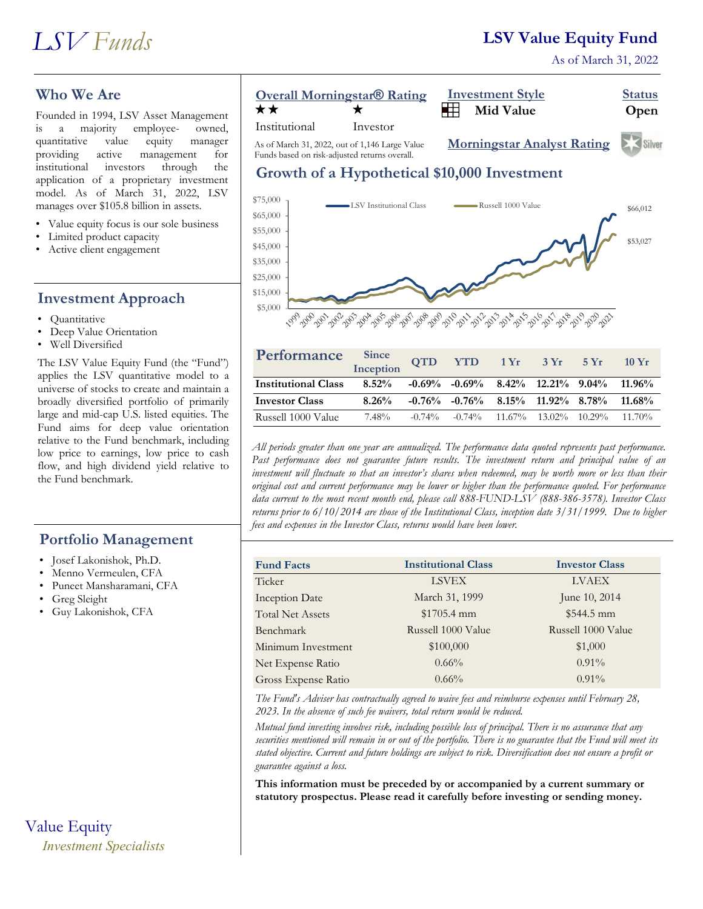## **LSV Value Equity Fund**

As of March 31, 2022



### **Who We Are**

Founded in 1994, LSV Asset Management is a majority employee- owned, quantitative value equity manager providing active management for institutional investors through the application of a proprietary investment model. As of March 31, 2022, LSV manages over \$105.8 billion in assets.

- Value equity focus is our sole business
- Limited product capacity
- Active client engagement

#### **Investment Approach**

- Quantitative
- Deep Value Orientation
- Well Diversified

The LSV Value Equity Fund (the "Fund") applies the LSV quantitative model to a universe of stocks to create and maintain a broadly diversified portfolio of primarily large and mid-cap U.S. listed equities. The Fund aims for deep value orientation relative to the Fund benchmark, including low price to earnings, low price to cash flow, and high dividend yield relative to the Fund benchmark.

#### **Portfolio Management**

- Josef Lakonishok, Ph.D.
- Menno Vermeulen, CFA
- Puneet Mansharamani, CFA
- Greg Sleight
- Guy Lakonishok, CFA

# Value Equity *Investment Specialists*





As of March 31, 2022, out of 1,146 Large Value Funds based on risk-adjusted returns overall.

### **Growth of a Hypothetical \$10,000 Investment**



| Performance                | Since<br>Inception                                                 | <b>QTD</b> |                                                           | $YTD$ 1 $Yr$ 3 $Yr$ | 5Yr | $10 \text{ Yr}$ |
|----------------------------|--------------------------------------------------------------------|------------|-----------------------------------------------------------|---------------------|-----|-----------------|
| <b>Institutional Class</b> | $8.52\%$ $-0.69\%$ $-0.69\%$ $8.42\%$ $12.21\%$ $9.04\%$ $11.96\%$ |            |                                                           |                     |     |                 |
| <b>Investor Class</b>      | $8.26\%$                                                           |            | $-0.76\%$ $-0.76\%$ $8.15\%$ $11.92\%$ $8.78\%$ $11.68\%$ |                     |     |                 |
| Russell 1000 Value         | 7.48%                                                              | $-0.74\%$  | $-0.74\%$ 11.67% 13.02% 10.29% 11.70%                     |                     |     |                 |

*All periods greater than one year are annualized. The performance data quoted represents past performance. Past performance does not guarantee future results. The investment return and principal value of an investment will fluctuate so that an investor's shares when redeemed, may be worth more or less than their original cost and current performance may be lower or higher than the performance quoted. For performance data current to the most recent month end, please call 888-FUND-LSV (888-386-3578). Investor Class returns prior to 6/10/2014 are those of the Institutional Class, inception date 3/31/1999. Due to higher fees and expenses in the Investor Class, returns would have been lower.*

| <b>Fund Facts</b>       | <b>Institutional Class</b> | <b>Investor Class</b> |
|-------------------------|----------------------------|-----------------------|
| Ticker                  | <b>LSVEX</b>               | <b>LVAEX</b>          |
| <b>Inception Date</b>   | March 31, 1999             | June 10, 2014         |
| <b>Total Net Assets</b> | $$1705.4$ mm               | $$544.5$ mm           |
| Benchmark               | Russell 1000 Value         | Russell 1000 Value    |
| Minimum Investment      | \$100,000                  | \$1,000               |
| Net Expense Ratio       | $0.66\%$                   | $0.91\%$              |
| Gross Expense Ratio     | $0.66\%$                   | $0.91\%$              |

*The Fund's Adviser has contractually agreed to waive fees and reimburse expenses until February 28, 2023. In the absence of such fee waivers, total return would be reduced.* 

*Mutual fund investing involves risk, including possible loss of principal. There is no assurance that any securities mentioned will remain in or out of the portfolio. There is no guarantee that the Fund will meet its stated objective. Current and future holdings are subject to risk. Diversification does not ensure a profit or guarantee against a loss.*

**This information must be preceded by or accompanied by a current summary or statutory prospectus. Please read it carefully before investing or sending money.**